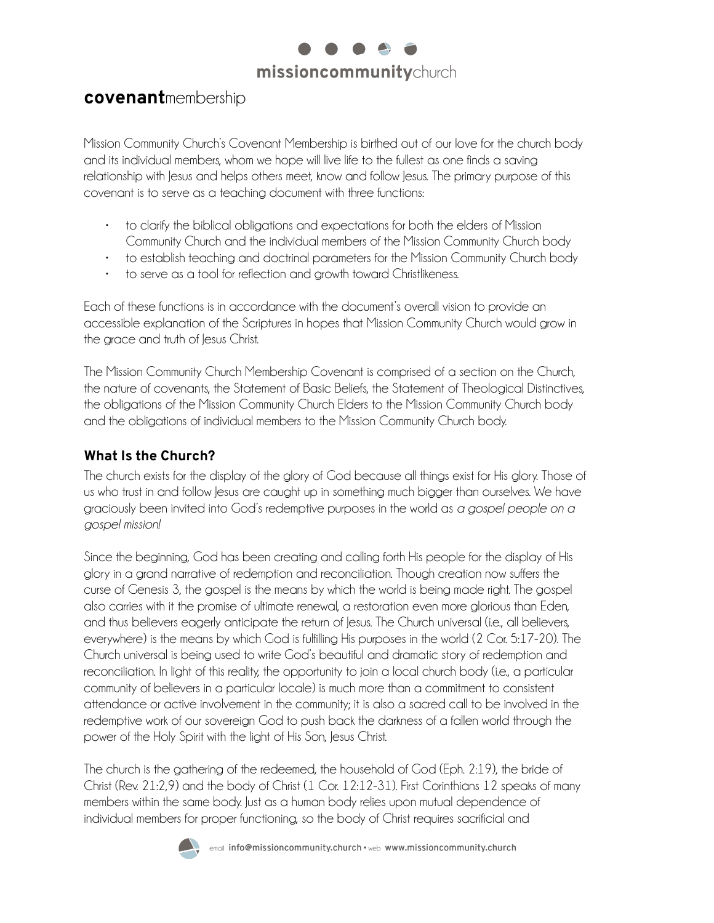

# **covenant**membership

Mission Community Church's Covenant Membership is birthed out of our love for the church body and its individual members, whom we hope will live life to the fullest as one finds a saving relationship with Jesus and helps others meet, know and follow Jesus. The primary purpose of this covenant is to serve as a teaching document with three functions:

- to clarify the biblical obligations and expectations for both the elders of Mission Community Church and the individual members of the Mission Community Church body
- to establish teaching and doctrinal parameters for the Mission Community Church body
- to serve as a tool for reflection and growth toward Christlikeness.

Each of these functions is in accordance with the document's overall vision to provide an accessible explanation of the Scriptures in hopes that Mission Community Church would grow in the grace and truth of Jesus Christ.

The Mission Community Church Membership Covenant is comprised of a section on the Church, the nature of covenants, the Statement of Basic Beliefs, the Statement of Theological Distinctives, the obligations of the Mission Community Church Elders to the Mission Community Church body and the obligations of individual members to the Mission Community Church body.

#### **What Is the Church?**

The church exists for the display of the glory of God because all things exist for His glory. Those of us who trust in and follow Jesus are caught up in something much bigger than ourselves. We have graciously been invited into God's redemptive purposes in the world as *a gospel people on a gospel mission!*

Since the beginning, God has been creating and calling forth His people for the display of His glory in a grand narrative of redemption and reconciliation. Though creation now suffers the curse of Genesis 3, the gospel is the means by which the world is being made right. The gospel also carries with it the promise of ultimate renewal, a restoration even more glorious than Eden, and thus believers eagerly anticipate the return of Jesus. The Church universal (i.e., all believers, everywhere) is the means by which God is fulfilling His purposes in the world (2 Cor. 5:17-20). The Church universal is being used to write God's beautiful and dramatic story of redemption and reconciliation. In light of this reality, the opportunity to join a local church body (i.e., a particular community of believers in a particular locale) is much more than a commitment to consistent attendance or active involvement in the community; it is also a sacred call to be involved in the redemptive work of our sovereign God to push back the darkness of a fallen world through the power of the Holy Spirit with the light of His Son, Jesus Christ.

The church is the gathering of the redeemed, the household of God (Eph. 2:19), the bride of Christ (Rev. 21:2,9) and the body of Christ (1 Cor. 12:12-31). First Corinthians 12 speaks of many members within the same body. Just as a human body relies upon mutual dependence of individual members for proper functioning, so the body of Christ requires sacrificial and

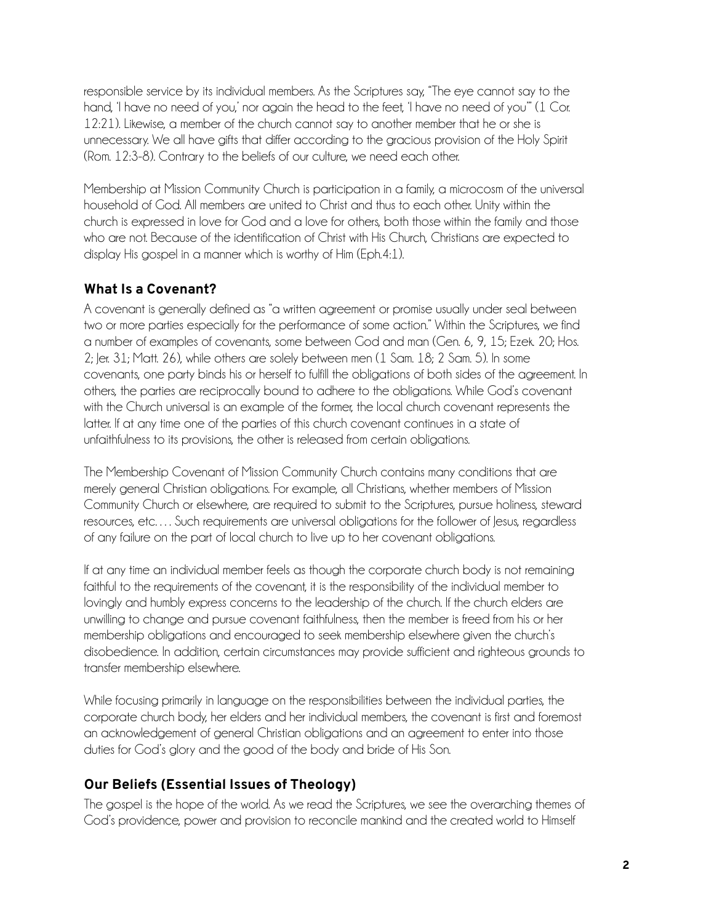responsible service by its individual members. As the Scriptures say, "The eye cannot say to the hand, 'I have no need of you,' nor again the head to the feet, 'I have no need of you'" (1 Cor. 12:21). Likewise, a member of the church cannot say to another member that he or she is unnecessary. We all have gifts that differ according to the gracious provision of the Holy Spirit (Rom. 12:3-8). Contrary to the beliefs of our culture, we need each other.

Membership at Mission Community Church is participation in a family, a microcosm of the universal household of God. All members are united to Christ and thus to each other. Unity within the church is expressed in love for God and a love for others, both those within the family and those who are not. Because of the identification of Christ with His Church, Christians are expected to display His gospel in a manner which is worthy of Him (Eph.4:1).

# **What Is a Covenant?**

A covenant is generally defined as "a written agreement or promise usually under seal between two or more parties especially for the performance of some action." Within the Scriptures, we find a number of examples of covenants, some between God and man (Gen. 6, 9, 15; Ezek. 20; Hos. 2; Jer. 31; Matt. 26), while others are solely between men (1 Sam. 18; 2 Sam. 5). In some covenants, one party binds his or herself to fulfill the obligations of both sides of the agreement. In others, the parties are reciprocally bound to adhere to the obligations. While God's covenant with the Church universal is an example of the former, the local church covenant represents the latter. If at any time one of the parties of this church covenant continues in a state of unfaithfulness to its provisions, the other is released from certain obligations.

The Membership Covenant of Mission Community Church contains many conditions that are merely general Christian obligations. For example, all Christians, whether members of Mission Community Church or elsewhere, are required to submit to the Scriptures, pursue holiness, steward resources, etc…. Such requirements are universal obligations for the follower of Jesus, regardless of any failure on the part of local church to live up to her covenant obligations.

If at any time an individual member feels as though the corporate church body is not remaining faithful to the requirements of the covenant, it is the responsibility of the individual member to lovingly and humbly express concerns to the leadership of the church. If the church elders are unwilling to change and pursue covenant faithfulness, then the member is freed from his or her membership obligations and encouraged to seek membership elsewhere given the church's disobedience. In addition, certain circumstances may provide sufficient and righteous grounds to transfer membership elsewhere.

While focusing primarily in language on the responsibilities between the individual parties, the corporate church body, her elders and her individual members, the covenant is first and foremost an acknowledgement of general Christian obligations and an agreement to enter into those duties for God's glory and the good of the body and bride of His Son.

# **Our Beliefs (Essential Issues of Theology)**

The gospel is the hope of the world. As we read the Scriptures, we see the overarching themes of God's providence, power and provision to reconcile mankind and the created world to Himself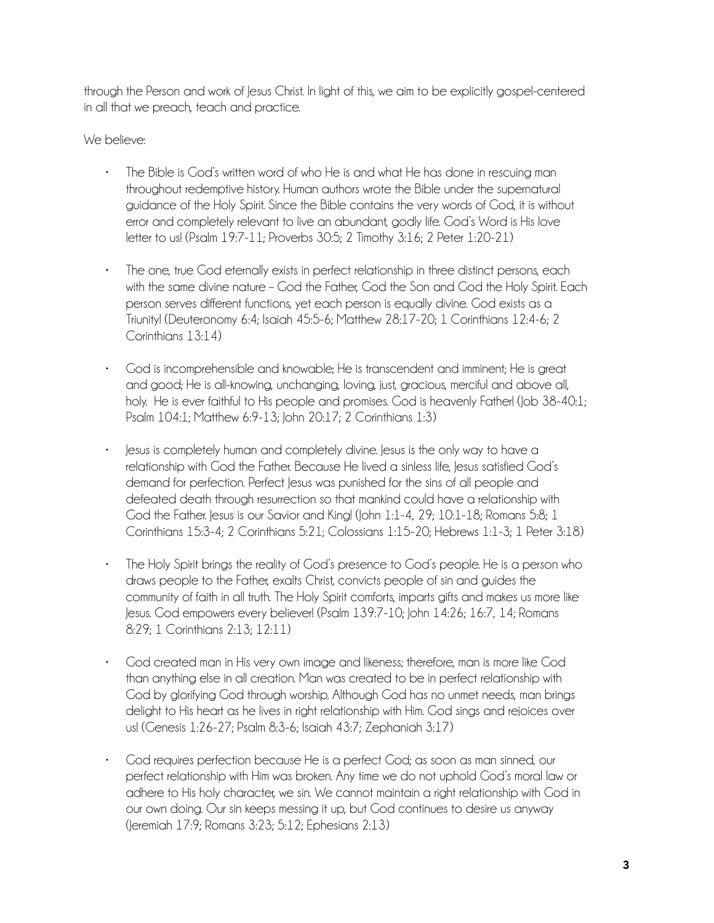through the Person and work of Jesus Christ. In light of this, we aim to be explicitly gospel-centered in all that we preach, teach and practice.

#### We believe:

- The Bible is God's written word of who He is and what He has done in rescuing man throughout redemptive history. Human authors wrote the Bible under the supernatural guidance of the Holy Spirit. Since the Bible contains the very words of God, it is without error and completely relevant to live an abundant, godly life. God's Word is His love letter to us! (Psalm 19:7-11; Proverbs 30:5; 2 Timothy 3:16; 2 Peter 1:20-21)
- The one, true God eternally exists in perfect relationship in three distinct persons, each with the same divine nature – God the Father, God the Son and God the Holy Spirit. Each person serves different functions, yet each person is equally divine. God exists as a Triunity! (Deuteronomy 6:4; Isaiah 45:5-6; Matthew 28:17-20; 1 Corinthians 12:4-6; 2 Corinthians 13:14)
- God is incomprehensible and knowable; He is transcendent and imminent; He is great and good; He is all-knowing, unchanging, loving, just, gracious, merciful and above all, holy. He is ever faithful to His people and promises. God is heavenly Father! (Job 38-40:1; Psalm 104:1; Matthew 6:9-13; John 20:17; 2 Corinthians 1:3)
- Jesus is completely human and completely divine. Jesus is the only way to have a relationship with God the Father. Because He lived a sinless life, Jesus satisfied God's demand for perfection. Perfect lesus was punished for the sins of all people and defeated death through resurrection so that mankind could have a relationship with God the Father. Jesus is our Savior and King! (John 1:1-4, 29; 10:1-18; Romans 5:8; 1 Corinthians 15:3-4; 2 Corinthians 5:21; Colossians 1:15-20; Hebrews 1:1-3; 1 Peter 3:18)
- The Holy Spirit brings the reality of God's presence to God's people. He is a person who draws people to the Father, exalts Christ, convicts people of sin and guides the community of faith in all truth. The Holy Spirit comforts, imparts gifts and makes us more like Jesus. God empowers every believer! (Psalm 139:7-10; John 14:26; 16:7, 14; Romans 8:29; 1 Corinthians 2:13; 12:11)
- God created man in His very own image and likeness; therefore, man is more like God than anything else in all creation. Man was created to be in perfect relationship with God by glorifying God through worship. Although God has no unmet needs, man brings delight to His heart as he lives in right relationship with Him. God sings and rejoices over us! (Genesis 1:26-27; Psalm 8:3-6; Isaiah 43:7; Zephaniah 3:17)
- God requires perfection because He is a perfect God; as soon as man sinned, our perfect relationship with Him was broken. Any time we do not uphold God's moral law or adhere to His holy character, we sin. We cannot maintain a right relationship with God in our own doing. Our sin keeps messing it up, but God continues to desire us anyway (Jeremiah 17:9; Romans 3:23; 5:12; Ephesians 2:13)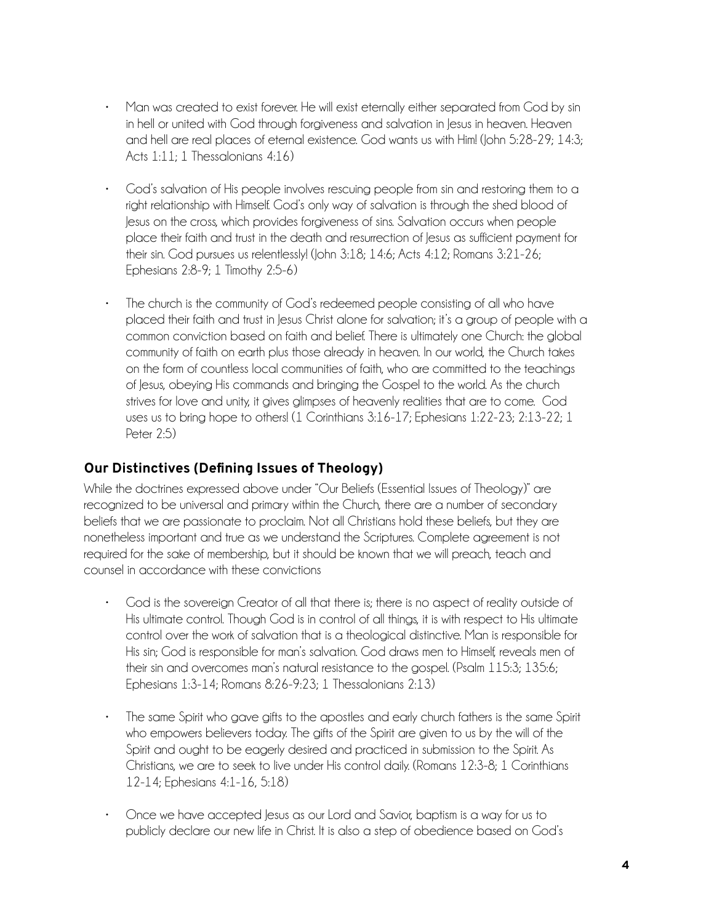- Man was created to exist forever. He will exist eternally either separated from God by sin in hell or united with God through forgiveness and salvation in Jesus in heaven. Heaven and hell are real places of eternal existence. God wants us with Him! (John 5:28-29; 14:3; Acts 1:11; 1 Thessalonians 4:16)
- God's salvation of His people involves rescuing people from sin and restoring them to a right relationship with Himself. God's only way of salvation is through the shed blood of Jesus on the cross, which provides forgiveness of sins. Salvation occurs when people place their faith and trust in the death and resurrection of Jesus as sufficient payment for their sin. God pursues us relentlessly! (John 3:18; 14:6; Acts 4:12; Romans 3:21-26; Ephesians 2:8-9; 1 Timothy 2:5-6)
- The church is the community of God's redeemed people consisting of all who have placed their faith and trust in Jesus Christ alone for salvation; it's a group of people with a common conviction based on faith and belief. There is ultimately one Church: the global community of faith on earth plus those already in heaven. In our world, the Church takes on the form of countless local communities of faith, who are committed to the teachings of Jesus, obeying His commands and bringing the Gospel to the world. As the church strives for love and unity, it gives glimpses of heavenly realities that are to come. God uses us to bring hope to others! (1 Corinthians 3:16-17; Ephesians 1:22-23; 2:13-22; 1 Peter 2:5)

### **Our Distinctives (Defining Issues of Theology)**

While the doctrines expressed above under "Our Beliefs (Essential Issues of Theology)" are recognized to be universal and primary within the Church, there are a number of secondary beliefs that we are passionate to proclaim. Not all Christians hold these beliefs, but they are nonetheless important and true as we understand the Scriptures. Complete agreement is not required for the sake of membership, but it should be known that we will preach, teach and counsel in accordance with these convictions

- God is the sovereign Creator of all that there is; there is no aspect of reality outside of His ultimate control. Though God is in control of all things, it is with respect to His ultimate control over the work of salvation that is a theological distinctive. Man is responsible for His sin; God is responsible for man's salvation. God draws men to Himself, reveals men of their sin and overcomes man's natural resistance to the gospel. (Psalm 115:3; 135:6; Ephesians 1:3-14; Romans 8:26-9:23; 1 Thessalonians 2:13)
- The same Spirit who gave gifts to the apostles and early church fathers is the same Spirit who empowers believers today. The gifts of the Spirit are given to us by the will of the Spirit and ought to be eagerly desired and practiced in submission to the Spirit. As Christians, we are to seek to live under His control daily. (Romans 12:3-8; 1 Corinthians 12-14; Ephesians 4:1-16, 5:18)
- Once we have accepted Jesus as our Lord and Savior, baptism is a way for us to publicly declare our new life in Christ. It is also a step of obedience based on God's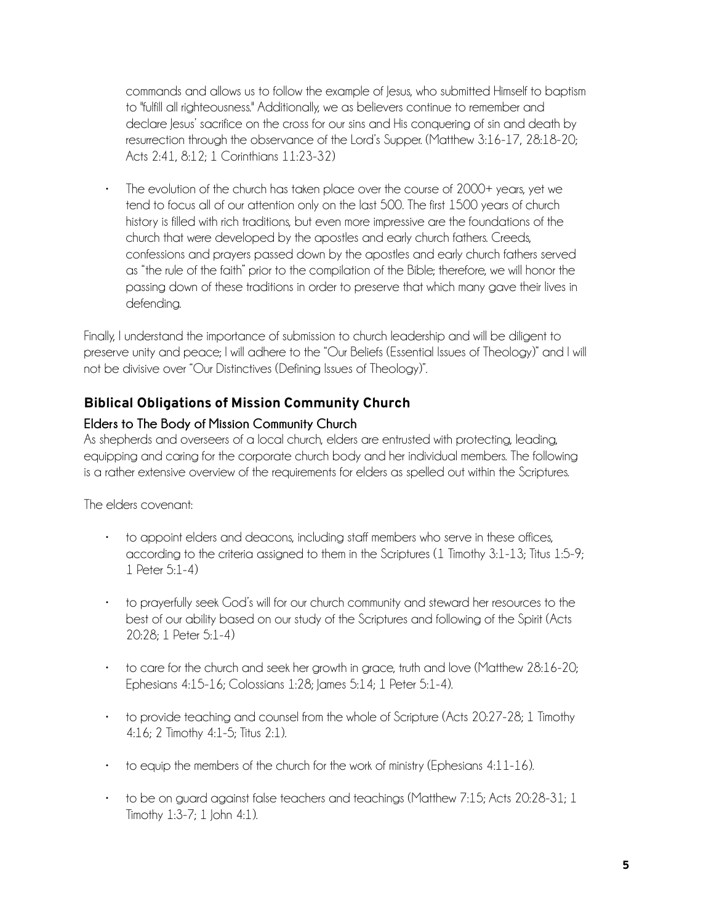commands and allows us to follow the example of Jesus, who submitted Himself to baptism to "fulfill all righteousness." Additionally, we as believers continue to remember and declare Jesus' sacrifice on the cross for our sins and His conquering of sin and death by resurrection through the observance of the Lord's Supper. (Matthew 3:16-17, 28:18-20; Acts 2:41, 8:12; 1 Corinthians 11:23-32)

• The evolution of the church has taken place over the course of 2000+ years, yet we tend to focus all of our attention only on the last 500. The first 1500 years of church history is filled with rich traditions, but even more impressive are the foundations of the church that were developed by the apostles and early church fathers. Creeds, confessions and prayers passed down by the apostles and early church fathers served as "the rule of the faith" prior to the compilation of the Bible; therefore, we will honor the passing down of these traditions in order to preserve that which many gave their lives in defending.

Finally, I understand the importance of submission to church leadership and will be diligent to preserve unity and peace; I will adhere to the "Our Beliefs (Essential Issues of Theology)" and I will not be divisive over "Our Distinctives (Defining Issues of Theology)".

# **Biblical Obligations of Mission Community Church**

#### **Elders to The Body of Mission Community Church**

As shepherds and overseers of a local church, elders are entrusted with protecting, leading, equipping and caring for the corporate church body and her individual members. The following is a rather extensive overview of the requirements for elders as spelled out within the Scriptures.

The elders covenant:

- to appoint elders and deacons, including staff members who serve in these offices, according to the criteria assigned to them in the Scriptures (1 Timothy 3:1-13; Titus 1:5-9; 1 Peter 5:1-4)
- to prayerfully seek God's will for our church community and steward her resources to the best of our ability based on our study of the Scriptures and following of the Spirit (Acts 20:28; 1 Peter 5:1-4)
- to care for the church and seek her growth in grace, truth and love (Matthew 28:16-20; Ephesians 4:15-16; Colossians 1:28; James 5:14; 1 Peter 5:1-4).
- to provide teaching and counsel from the whole of Scripture (Acts 20:27-28; 1 Timothy 4:16; 2 Timothy 4:1-5; Titus 2:1).
- to equip the members of the church for the work of ministry (Ephesians 4:11-16).
- to be on guard against false teachers and teachings (Matthew 7:15; Acts 20:28-31; 1 Timothy  $1:3-7; 1$  John  $4:1$ ).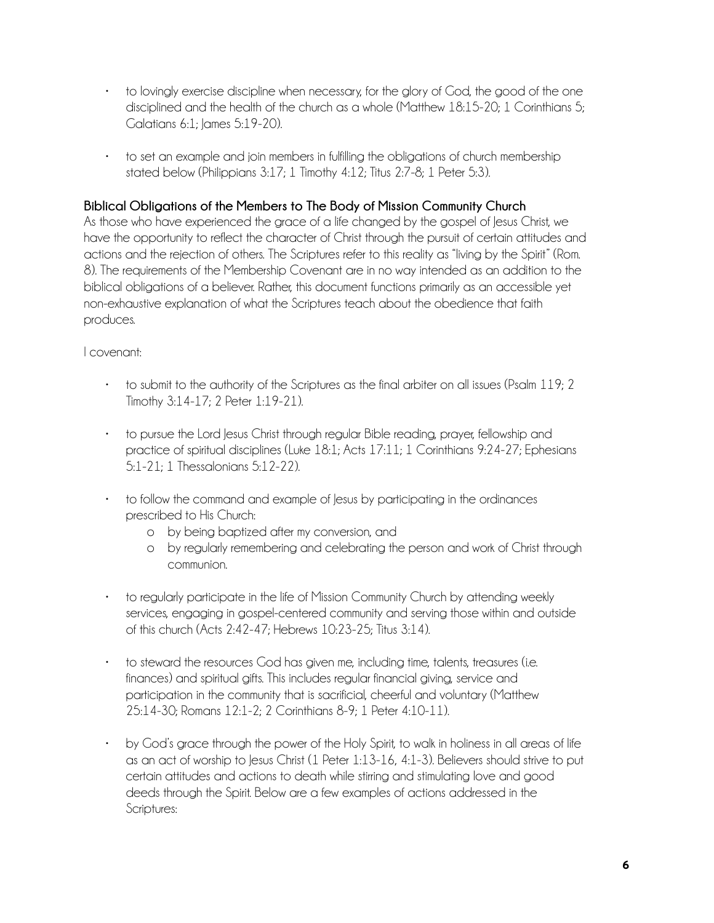- to lovingly exercise discipline when necessary, for the glory of God, the good of the one disciplined and the health of the church as a whole (Matthew 18:15-20; 1 Corinthians 5; Galatians 6:1; James 5:19-20).
- to set an example and join members in fulfilling the obligations of church membership stated below (Philippians 3:17; 1 Timothy 4:12; Titus 2:7-8; 1 Peter 5:3).

#### **Biblical Obligations of the Members to The Body of Mission Community Church**

As those who have experienced the grace of a life changed by the gospel of Jesus Christ, we have the opportunity to reflect the character of Christ through the pursuit of certain attitudes and actions and the rejection of others. The Scriptures refer to this reality as "living by the Spirit" (Rom. 8). The requirements of the Membership Covenant are in no way intended as an addition to the biblical obligations of a believer. Rather, this document functions primarily as an accessible yet non-exhaustive explanation of what the Scriptures teach about the obedience that faith produces.

#### I covenant:

- to submit to the authority of the Scriptures as the final arbiter on all issues (Psalm 119; 2 Timothy 3:14-17; 2 Peter 1:19-21).
- to pursue the Lord Jesus Christ through regular Bible reading, prayer, fellowship and practice of spiritual disciplines (Luke 18:1; Acts 17:11; 1 Corinthians 9:24-27; Ephesians 5:1-21; 1 Thessalonians 5:12-22).
- to follow the command and example of Jesus by participating in the ordinances prescribed to His Church:
	- o by being baptized after my conversion, and
	- o by regularly remembering and celebrating the person and work of Christ through communion.
- to regularly participate in the life of Mission Community Church by attending weekly services, engaging in gospel-centered community and serving those within and outside of this church (Acts 2:42-47; Hebrews 10:23-25; Titus 3:14).
- to steward the resources God has given me, including time, talents, treasures (i.e. finances) and spiritual gifts. This includes regular financial giving, service and participation in the community that is sacrificial, cheerful and voluntary (Matthew 25:14-30; Romans 12:1-2; 2 Corinthians 8-9; 1 Peter 4:10-11).
- by God's grace through the power of the Holy Spirit, to walk in holiness in all areas of life as an act of worship to Jesus Christ (1 Peter 1:13-16, 4:1-3). Believers should strive to put certain attitudes and actions to death while stirring and stimulating love and good deeds through the Spirit. Below are a few examples of actions addressed in the Scriptures: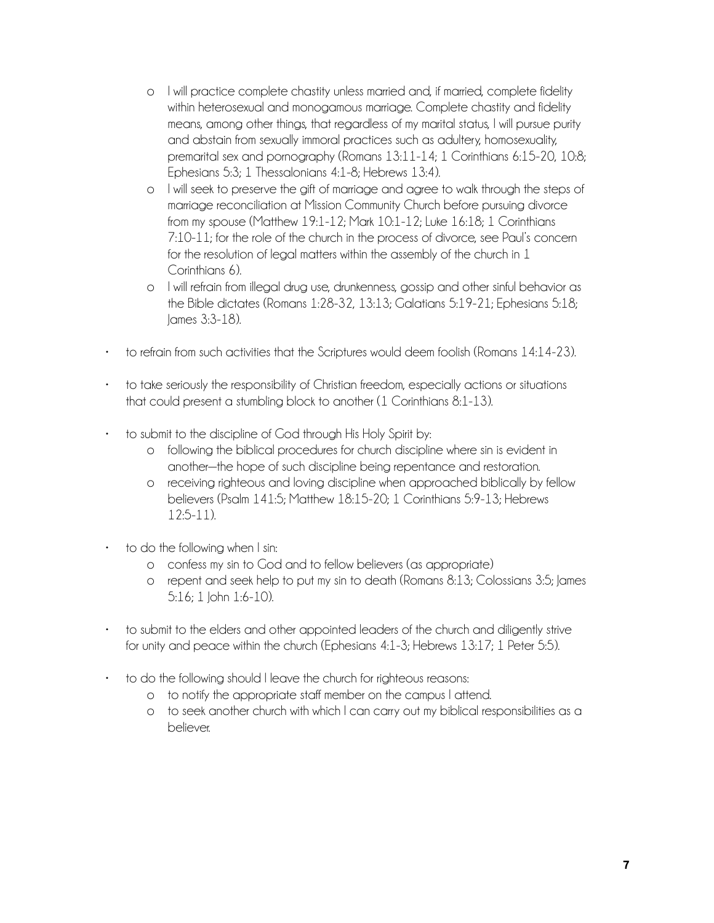- o I will practice complete chastity unless married and, if married, complete fidelity within heterosexual and monogamous marriage. Complete chastity and fidelity means, among other things, that regardless of my marital status, I will pursue purity and abstain from sexually immoral practices such as adultery, homosexuality, premarital sex and pornography (Romans 13:11-14; 1 Corinthians 6:15-20, 10:8; Ephesians 5:3; 1 Thessalonians 4:1-8; Hebrews 13:4).
- o I will seek to preserve the gift of marriage and agree to walk through the steps of marriage reconciliation at Mission Community Church before pursuing divorce from my spouse (Matthew 19:1-12; Mark 10:1-12; Luke 16:18; 1 Corinthians 7:10-11; for the role of the church in the process of divorce, see Paul's concern for the resolution of legal matters within the assembly of the church in 1 Corinthians 6).
- o I will refrain from illegal drug use, drunkenness, gossip and other sinful behavior as the Bible dictates (Romans 1:28-32, 13:13; Galatians 5:19-21; Ephesians 5:18; James 3:3-18).
- to refrain from such activities that the Scriptures would deem foolish (Romans 14:14-23).
- to take seriously the responsibility of Christian freedom, especially actions or situations that could present a stumbling block to another (1 Corinthians 8:1-13).
- to submit to the discipline of God through His Holy Spirit by:
	- o following the biblical procedures for church discipline where sin is evident in another—the hope of such discipline being repentance and restoration.
	- o receiving righteous and loving discipline when approached biblically by fellow believers (Psalm 141:5; Matthew 18:15-20; 1 Corinthians 5:9-13; Hebrews 12:5-11).
- to do the following when I sin:
	- o confess my sin to God and to fellow believers (as appropriate)
	- o repent and seek help to put my sin to death (Romans 8:13; Colossians 3:5; James 5:16; 1 John 1:6-10).
- to submit to the elders and other appointed leaders of the church and diligently strive for unity and peace within the church (Ephesians 4:1-3; Hebrews 13:17; 1 Peter 5:5).
- to do the following should I leave the church for righteous reasons:
	- o to notify the appropriate staff member on the campus I attend.
	- o to seek another church with which I can carry out my biblical responsibilities as a believer.